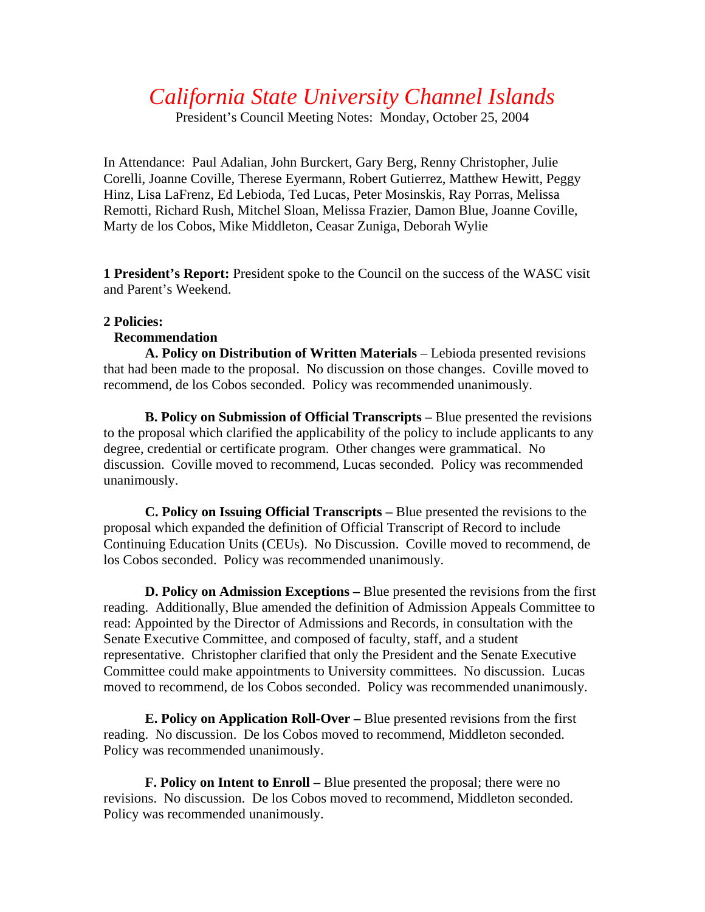## *California State University Channel Islands*

President's Council Meeting Notes: Monday, October 25, 2004

In Attendance: Paul Adalian, John Burckert, Gary Berg, Renny Christopher, Julie Corelli, Joanne Coville, Therese Eyermann, Robert Gutierrez, Matthew Hewitt, Peggy Hinz, Lisa LaFrenz, Ed Lebioda, Ted Lucas, Peter Mosinskis, Ray Porras, Melissa Remotti, Richard Rush, Mitchel Sloan, Melissa Frazier, Damon Blue, Joanne Coville, Marty de los Cobos, Mike Middleton, Ceasar Zuniga, Deborah Wylie

**1 President's Report:** President spoke to the Council on the success of the WASC visit and Parent's Weekend.

## **2 Policies:**

## **Recommendation**

**A. Policy on Distribution of Written Materials** – Lebioda presented revisions that had been made to the proposal. No discussion on those changes. Coville moved to recommend, de los Cobos seconded. Policy was recommended unanimously.

**B. Policy on Submission of Official Transcripts –** Blue presented the revisions to the proposal which clarified the applicability of the policy to include applicants to any degree, credential or certificate program. Other changes were grammatical. No discussion. Coville moved to recommend, Lucas seconded. Policy was recommended unanimously.

**C. Policy on Issuing Official Transcripts –** Blue presented the revisions to the proposal which expanded the definition of Official Transcript of Record to include Continuing Education Units (CEUs). No Discussion. Coville moved to recommend, de los Cobos seconded. Policy was recommended unanimously.

**D. Policy on Admission Exceptions –** Blue presented the revisions from the first reading. Additionally, Blue amended the definition of Admission Appeals Committee to read: Appointed by the Director of Admissions and Records, in consultation with the Senate Executive Committee, and composed of faculty, staff, and a student representative. Christopher clarified that only the President and the Senate Executive Committee could make appointments to University committees. No discussion. Lucas moved to recommend, de los Cobos seconded. Policy was recommended unanimously.

**E. Policy on Application Roll-Over –** Blue presented revisions from the first reading. No discussion. De los Cobos moved to recommend, Middleton seconded. Policy was recommended unanimously.

**F. Policy on Intent to Enroll –** Blue presented the proposal; there were no revisions. No discussion. De los Cobos moved to recommend, Middleton seconded. Policy was recommended unanimously.